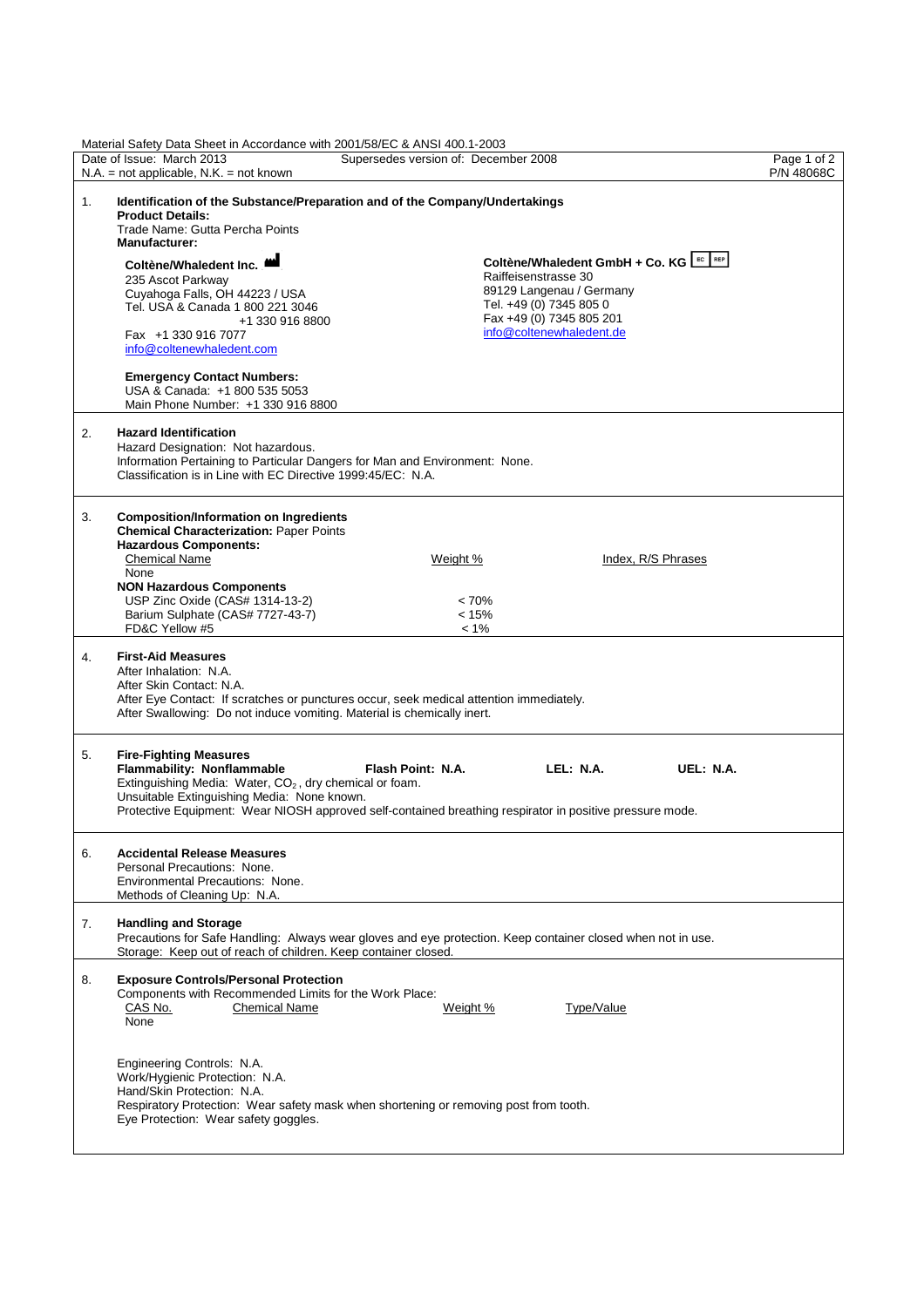| Material Safety Data Sheet in Accordance with 2001/58/EC & ANSI 400.1-2003 |                                                                                                                                                                                                                                                       |                                                                                                                                                         |                           |  |  |  |  |  |
|----------------------------------------------------------------------------|-------------------------------------------------------------------------------------------------------------------------------------------------------------------------------------------------------------------------------------------------------|---------------------------------------------------------------------------------------------------------------------------------------------------------|---------------------------|--|--|--|--|--|
|                                                                            | Date of Issue: March 2013<br>$N.A.$ = not applicable, $N.K.$ = not known                                                                                                                                                                              | Supersedes version of: December 2008                                                                                                                    | Page 1 of 2<br>P/N 48068C |  |  |  |  |  |
| 1.                                                                         | Identification of the Substance/Preparation and of the Company/Undertakings<br><b>Product Details:</b><br>Trade Name: Gutta Percha Points<br><b>Manufacturer:</b>                                                                                     |                                                                                                                                                         |                           |  |  |  |  |  |
|                                                                            | Coltène/Whaledent Inc.<br>235 Ascot Parkway<br>Cuyahoga Falls, OH 44223 / USA<br>Tel. USA & Canada 1 800 221 3046<br>+1 330 916 8800                                                                                                                  | Coltène/Whaledent GmbH + Co. KG EC REP<br>Raiffeisenstrasse 30<br>89129 Langenau / Germany<br>Tel. +49 (0) 7345 805 0<br>Fax +49 (0) 7345 805 201       |                           |  |  |  |  |  |
|                                                                            | Fax +1 330 916 7077<br>info@coltenewhaledent.com                                                                                                                                                                                                      | info@coltenewhaledent.de                                                                                                                                |                           |  |  |  |  |  |
|                                                                            | <b>Emergency Contact Numbers:</b><br>USA & Canada: +1 800 535 5053<br>Main Phone Number: +1 330 916 8800                                                                                                                                              |                                                                                                                                                         |                           |  |  |  |  |  |
| 2.                                                                         | <b>Hazard Identification</b><br>Hazard Designation: Not hazardous.<br>Information Pertaining to Particular Dangers for Man and Environment: None.<br>Classification is in Line with EC Directive 1999:45/EC: N.A.                                     |                                                                                                                                                         |                           |  |  |  |  |  |
| 3.                                                                         | <b>Composition/Information on Ingredients</b><br><b>Chemical Characterization: Paper Points</b><br><b>Hazardous Components:</b><br><b>Chemical Name</b>                                                                                               | Index, R/S Phrases<br>Weight %                                                                                                                          |                           |  |  |  |  |  |
|                                                                            | None<br><b>NON Hazardous Components</b><br>USP Zinc Oxide (CAS# 1314-13-2)<br>Barium Sulphate (CAS# 7727-43-7)<br>FD&C Yellow #5                                                                                                                      | < 70%<br>< 15%<br>$< 1\%$                                                                                                                               |                           |  |  |  |  |  |
| 4.                                                                         | <b>First-Aid Measures</b><br>After Inhalation: N.A.<br>After Skin Contact: N.A.<br>After Eye Contact: If scratches or punctures occur, seek medical attention immediately.<br>After Swallowing: Do not induce vomiting. Material is chemically inert. |                                                                                                                                                         |                           |  |  |  |  |  |
| 5.                                                                         | <b>Fire-Fighting Measures</b><br>Flammability: Nonflammable<br>Extinguishing Media: Water, CO <sub>2</sub> , dry chemical or foam.<br>Unsuitable Extinguishing Media: None known.                                                                     | Flash Point: N.A.<br>LEL: N.A.<br>UEL: N.A.<br>Protective Equipment: Wear NIOSH approved self-contained breathing respirator in positive pressure mode. |                           |  |  |  |  |  |
| 6.                                                                         | <b>Accidental Release Measures</b><br>Personal Precautions: None.<br>Environmental Precautions: None.<br>Methods of Cleaning Up: N.A.                                                                                                                 |                                                                                                                                                         |                           |  |  |  |  |  |
| 7.                                                                         | <b>Handling and Storage</b><br>Precautions for Safe Handling: Always wear gloves and eye protection. Keep container closed when not in use.<br>Storage: Keep out of reach of children. Keep container closed.                                         |                                                                                                                                                         |                           |  |  |  |  |  |
| 8.                                                                         | <b>Exposure Controls/Personal Protection</b><br>Components with Recommended Limits for the Work Place:<br>CAS No.<br><b>Chemical Name</b><br>None                                                                                                     | Weight %<br>Type/Value                                                                                                                                  |                           |  |  |  |  |  |
|                                                                            | Engineering Controls: N.A.<br>Work/Hygienic Protection: N.A.<br>Hand/Skin Protection: N.A.<br>Respiratory Protection: Wear safety mask when shortening or removing post from tooth.<br>Eye Protection: Wear safety goggles.                           |                                                                                                                                                         |                           |  |  |  |  |  |